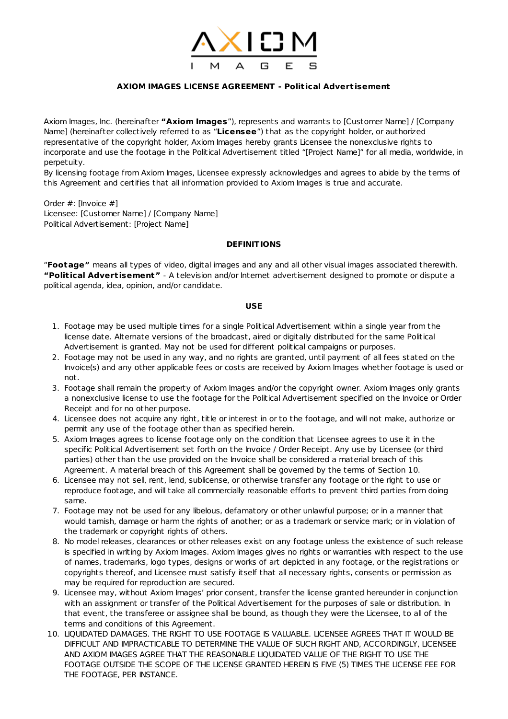

# **AXIOM IMAGES LICENSE AGREEMENT - Polit ical Advert isement**

Axiom Images, Inc. (hereinafter **"Axiom Images**"), represents and warrants to [Customer Name] / [Company Name] (hereinafter collectively referred to as "**Licensee**") that as the copyright holder, or authorized representative of the copyright holder, Axiom Images hereby grants Licensee the nonexclusive rights to incorporate and use the footage in the Political Advertisement titled "[Project Name]" for all media, worldwide, in perpetuity.

By licensing footage from Axiom Images, Licensee expressly acknowledges and agrees to abide by the terms of this Agreement and certifies that all information provided to Axiom Images is true and accurate.

Order #: [Invoice #] Licensee: [Customer Name] / [Company Name] Political Advertisement: [Project Name]

### **DEFINITIONS**

"**Footage"** means all types of video, digital images and any and all other visual images associated therewith. **"Polit ical Advert isement"** - A television and/or Internet advertisement designed to promote or dispute a political agenda, idea, opinion, and/or candidate.

# **USE**

- 1. Footage may be used multiple times for a single Political Advertisement within a single year from the license date. Alternate versions of the broadcast, aired or digitally distributed for the same Political Advertisement is granted. May not be used for different political campaigns or purposes.
- 2. Footage may not be used in any way, and no rights are granted, until payment of all fees stated on the Invoice(s) and any other applicable fees or costs are received by Axiom Images whether footage is used or not.
- 3. Footage shall remain the property of Axiom Images and/or the copyright owner. Axiom Images only grants a nonexclusive license to use the footage for the Political Advertisement specified on the Invoice or Order Receipt and for no other purpose.
- 4. Licensee does not acquire any right, title or interest in or to the footage, and will not make, authorize or permit any use of the footage other than as specified herein.
- 5. Axiom Images agrees to license footage only on the condition that Licensee agrees to use it in the specific Political Advertisement set forth on the Invoice / Order Receipt. Any use by Licensee (or third parties) other than the use provided on the Invoice shall be considered a material breach of this Agreement. A material breach of this Agreement shall be governed by the terms of Section 10.
- 6. Licensee may not sell, rent, lend, sublicense, or otherwise transfer any footage or the right to use or reproduce footage, and will take all commercially reasonable efforts to prevent third parties from doing same.
- 7. Footage may not be used for any libelous, defamatory or other unlawful purpose; or in a manner that would tarnish, damage or harm the rights of another; or as a trademark or service mark; or in violation of the trademark or copyright rights of others.
- 8. No model releases, clearances or other releases exist on any footage unless the existence of such release is specified in writing by Axiom Images. Axiom Images gives no rights or warranties with respect to the use of names, trademarks, logo types, designs or works of art depicted in any footage, or the registrations or copyrights thereof, and Licensee must satisfy itself that all necessary rights, consents or permission as may be required for reproduction are secured.
- 9. Licensee may, without Axiom Images' prior consent, transfer the license granted hereunder in conjunction with an assignment or transfer of the Political Advertisement for the purposes of sale or distribution. In that event, the transferee or assignee shall be bound, as though they were the Licensee, to all of the terms and conditions of this Agreement.
- 10. LIQUIDATED DAMAGES. THE RIGHT TO USE FOOTAGE IS VALUABLE. LICENSEE AGREES THAT IT WOULD BE DIFFICULT AND IMPRACTICABLE TO DETERMINE THE VALUE OF SUCH RIGHT AND, ACCORDINGLY, LICENSEE AND AXIOM IMAGES AGREE THAT THE REASONABLE LIQUIDATED VALUE OF THE RIGHT TO USE THE FOOTAGE OUTSIDE THE SCOPE OF THE LICENSE GRANTED HEREIN IS FIVE (5) TIMES THE LICENSE FEE FOR THE FOOTAGE, PER INSTANCE.